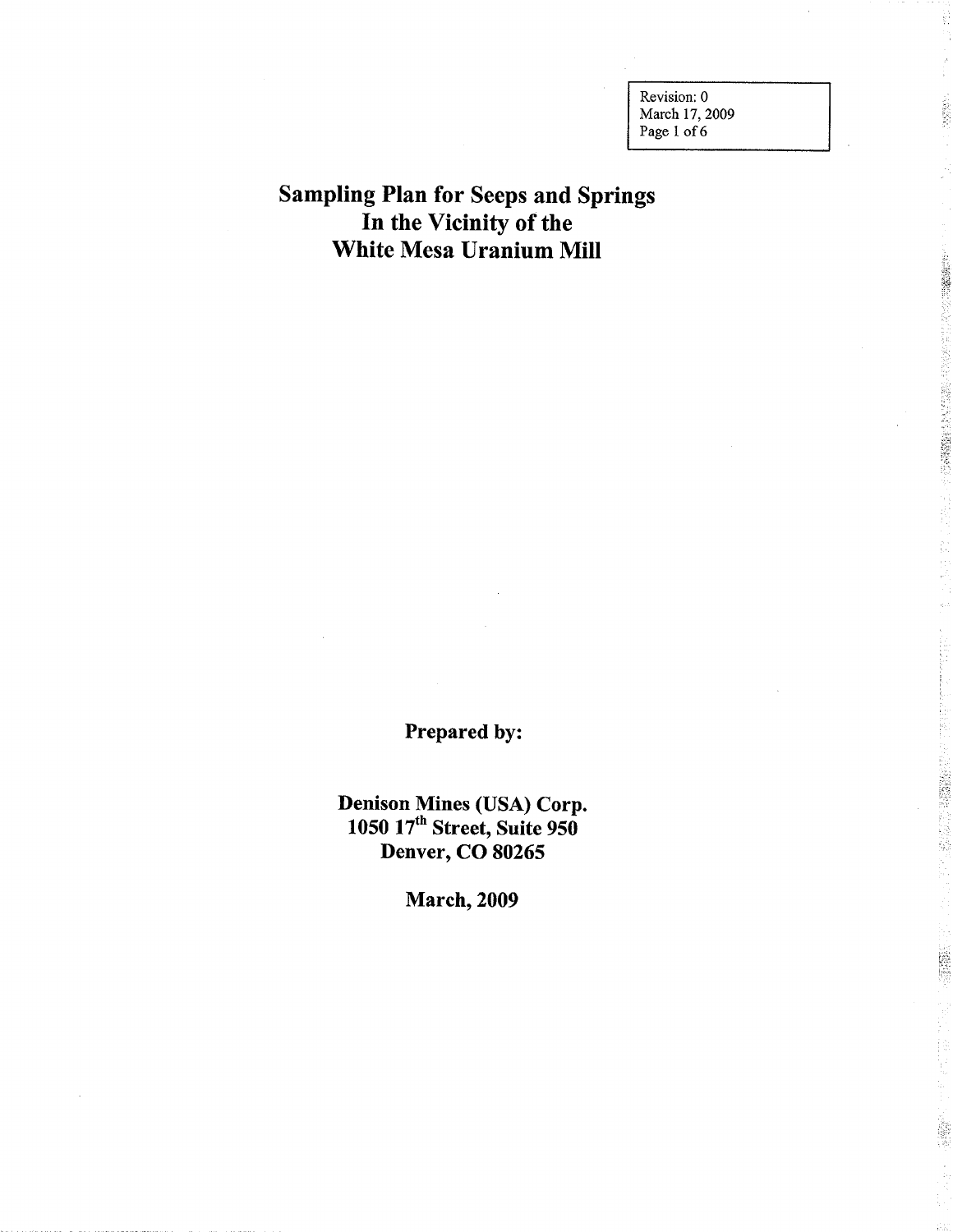Revision: 0 March 17, 2009 Page 1 of 6

ÿ,

**ACTES** 

· 1994年第2期 1994年1月

2000年7月

# Sampling Plan for Seeps and Springs In the Vicinity of the White Mesa Uranium Mill

Prepared by:

Denison Mines (USA) Corp.  $1050$   $17^{\rm th}$  Street, Suite 950 Denver, CO 8026

**March**, 2009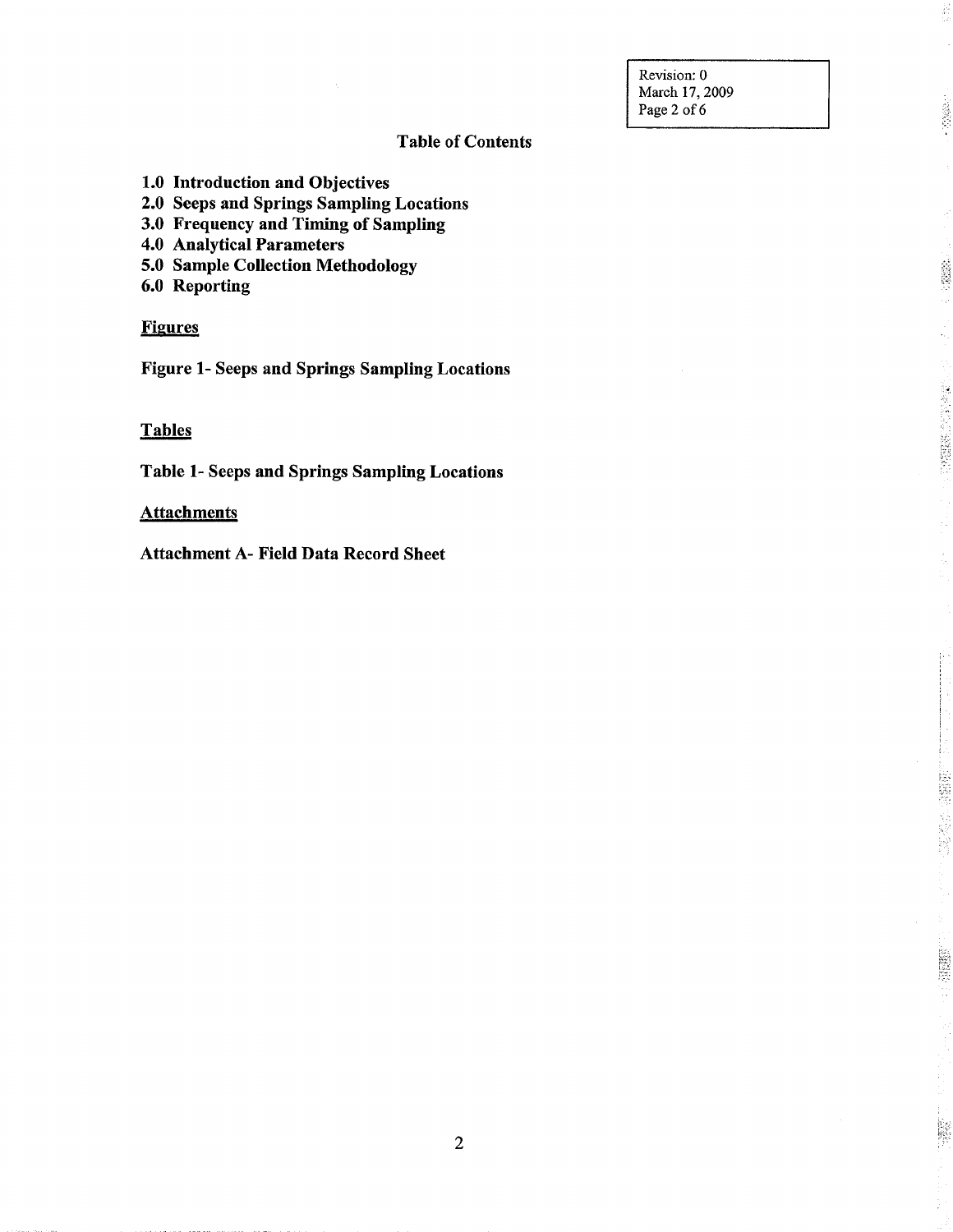Revision: 0 March 17, 2009 Page 2 of 6

 $\frac{1}{4\pi}$ 

 $\label{eq:2} \frac{1}{2}\sum_{i=1}^n\sum_{j=1}^n\left(\frac{1}{2}\sum_{j=1}^n\frac{1}{2}\sum_{j=1}^n\frac{1}{2}\sum_{j=1}^n\frac{1}{2}\sum_{j=1}^n\frac{1}{2}\sum_{j=1}^n\frac{1}{2}\sum_{j=1}^n\frac{1}{2}\sum_{j=1}^n\frac{1}{2}\sum_{j=1}^n\frac{1}{2}\sum_{j=1}^n\frac{1}{2}\sum_{j=1}^n\frac{1}{2}\sum_{j=1}^n\frac{1}{2}\sum_{j=1}^n\frac{1}{2}\$ 

 $\frac{1}{2}$ 

计数据数据 计数据数据

ŧ.

医腹股沟 计数据算

清麗

"我们"

# Table of Contents

- 1.0 Introduction and Objectives
- 2.0 Seeps and Springs Sampling Locations
- 3.0 Frequency and Timing of Sampling
- 4.0 Analytical Parameters
- 5.0 Sample Collection Methodology
- 6.0 Reporting

# Figures

Figure 1- Seeps and Springs Sampling Locations

# **Tables**

Table 1- Seeps and Springs Sampling Locations

### **Attachments**

Attachment A- Field Data Record Sheet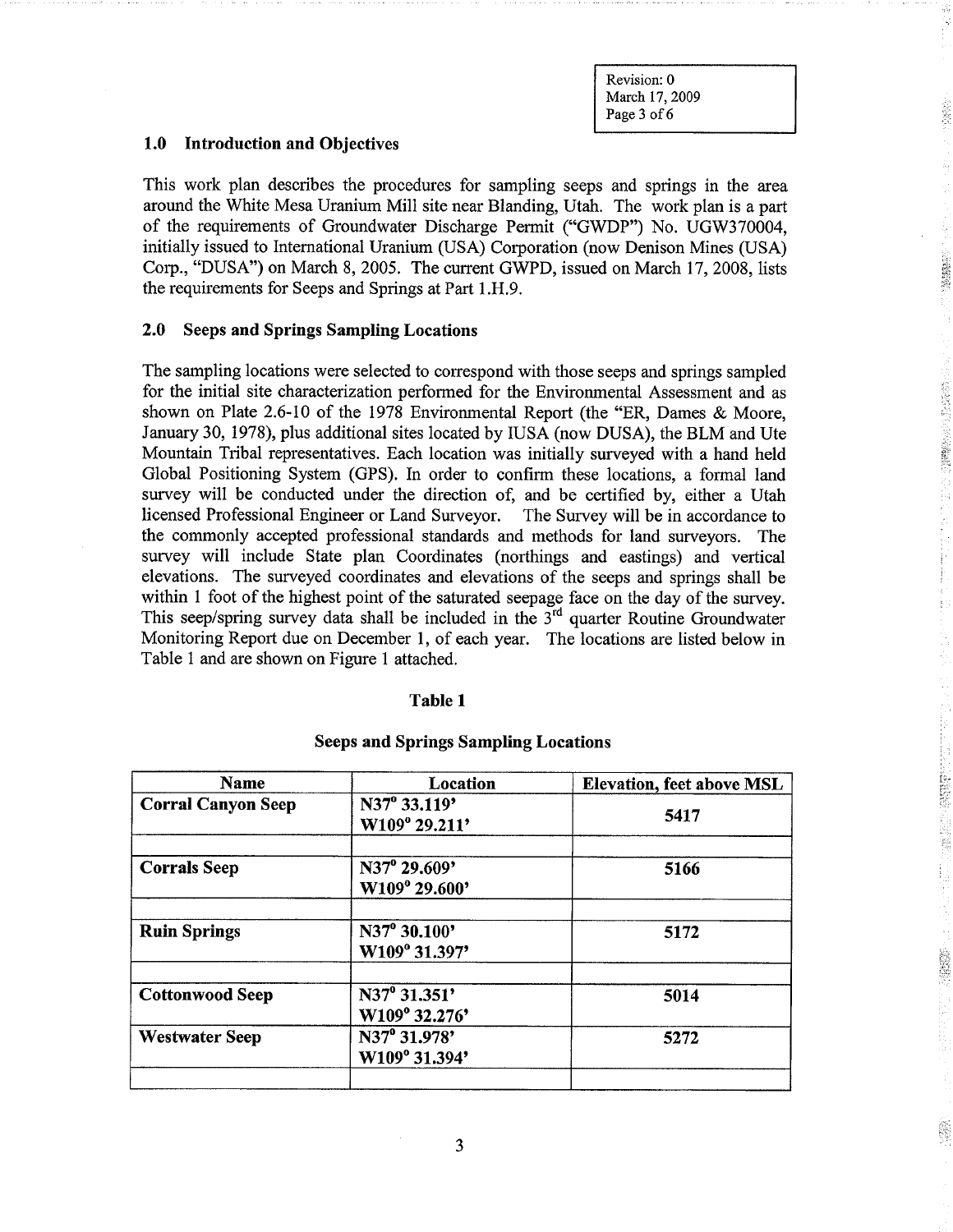Revision: 0 March 17, 2009 Page 3 of 6

1945年10月

入学学

**医硬酸盐** 

#### 1.0 Introduction and Objectives

This work plan describes the procedures for sampling seeps and springs in the area around the White Mesa Uranium Mill site near Blanding, Utah. The work plan is a part of the requirements of Groundwater Discharge Permit ("GWDP") No. UGW370004, initially issued to International Uranium (USA) Corporation (now Denison Mines (USA) Corp., "DUSA") on March 8, 2005. The current GWPD, issued on March 17, 2008, lists the requirements for Seeps and Springs at Part 1.H.9.

### 2.0 Seeps and Springs Sampling Locations

The sampling locations were selected to correspond with those seeps and springs sampled for the initial site characterization performed for the Environmental Assessment and as shown on Plate  $2.6-10$  of the 1978 Environmental Report (the "ER, Dames & Moore, January 30, 1978), plus additional sites located by IUSA (now DUSA), the BLM and Ute Mountain Tribal representatives. Each location was initially surveyed with a hand held Global Positioning System (GPS). In order to confirm these locations, a formal land survey will be conducted under the direction of, and be certified by, either a Utah licensed Professional Engineer or Land Surveyor. The Survey will be in accordance to the commonly accepted professional standards and methods for land surveyors The survey will include State plan Coordinates (northings and eastings) and vertical elevations The surveyed coordinates and elevations of the seeps and springs shall be within  $\mathbf 1$  foot of the highest point of the saturated seepage face on the day of the survey. This seep/spring survey data shall be included in the  $3<sup>rd</sup>$  quarter Routine Groundwater Monitoring Report due on December 1, of each year. The locations are listed below in Table 1 and are shown on Figure 1 attached.

#### Table

| Name                      | Location                      | <b>Elevation, feet above MSL</b> |
|---------------------------|-------------------------------|----------------------------------|
| <b>Corral Canyon Seep</b> | N37° 33.119'<br>W109° 29.211' | 5417                             |
| <b>Corrals Seep</b>       | N37° 29.609'<br>W109° 29.600' | 5166                             |
| <b>Ruin Springs</b>       | N37° 30.100'<br>W109° 31.397' | 5172                             |
| <b>Cottonwood Seep</b>    | N37° 31.351'<br>W109° 32.276' | 5014                             |
| <b>Westwater Seep</b>     | N37° 31.978'<br>W109° 31.394' | 5272                             |
|                           |                               |                                  |

#### Seeps and Springs Sampling Locations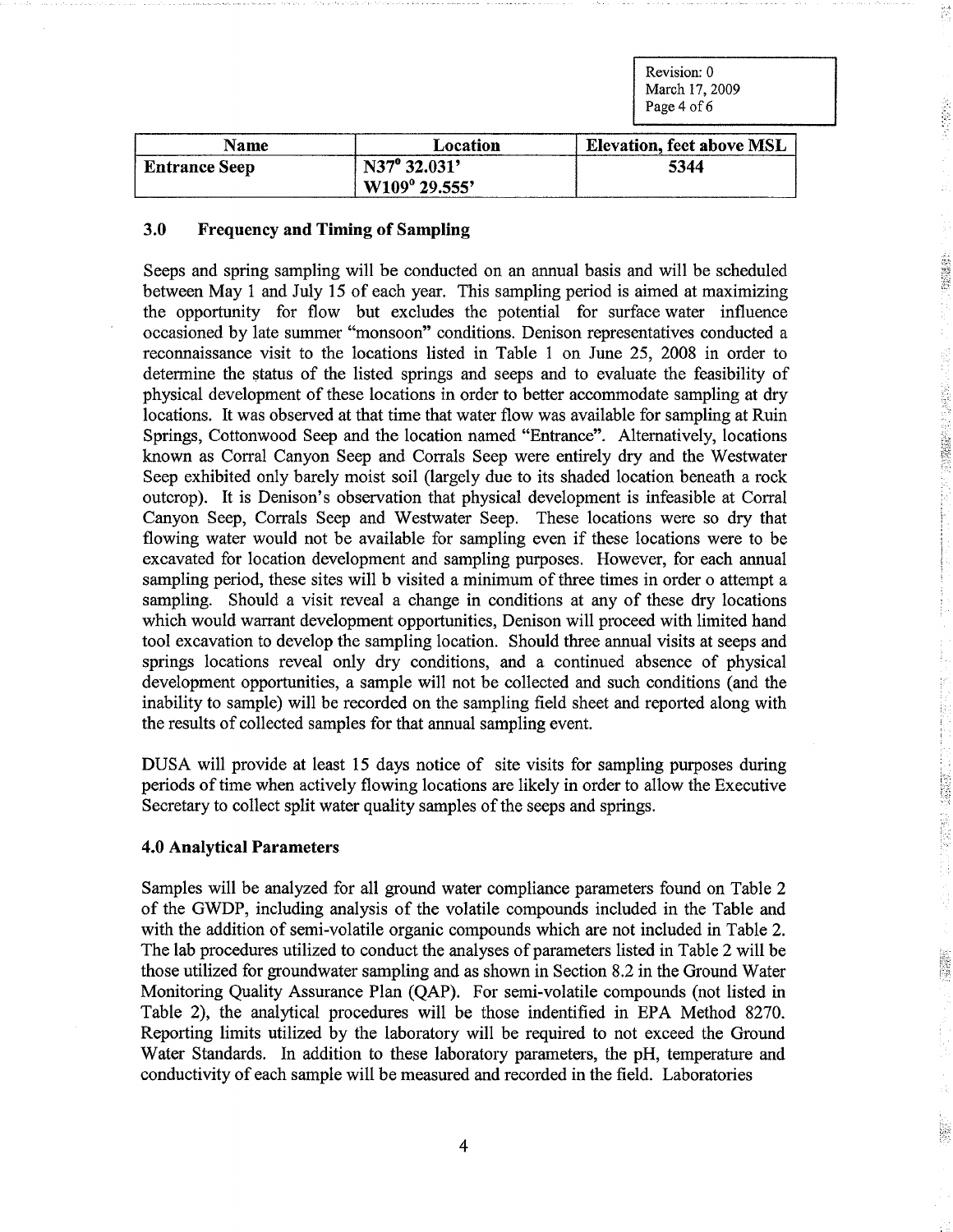Revision: 0 March 17, 2009 Page 4 of 6

锈

755799

| Name                 | Location      | <b>Elevation, feet above MSL</b> |
|----------------------|---------------|----------------------------------|
| <b>Entrance Seep</b> | N37° 32.031'  | 5344                             |
|                      | W109° 29.555' |                                  |

# 3.0 Frequency and Timing of Sampling

Seeps and spring sampling will be conducted on an annual basis and will be scheduled between May 1 and July 15 of each year. This sampling period is aimed at maximizing the opportunity for flow but excludes the potential for surface water influence occasioned by late summer "monsoon" conditions. Denison representatives conducted a reconnaissance visit to the locations listed in Table 1 on June 25, 2008 in order to determine the status of the listed springs and seeps and to evaluate the feasibility of physical development of these locations in order to better accommodate sampling at dry locations. It was observed at that time that water flow was available for sampling at Ruin Springs, Cottonwood Seep and the location named "Entrance". Alternatively, locations known as Corral Canyon Seep and Corrals Seep were entirely dry and the Westwater Seep exhibited only barely moist soil (largely due to its shaded location beneath a rock outcrop). It is Denison's observation that physical development is infeasible at Corral Canyon Seep, Corrals Seep and Westwater Seep. These locations were so dry that flowing water would not be available for sampling even if these locations were to be excavated for location development and sampling purposes. However, for each annual sampling period, these sites will b visited a minimum of three times in order o attempt a sampling. Should a visit reveal a change in conditions at any of these dry locations which would warrant development opportunities, Denison will proceed with limited hand tool excavation to develop the sampling location. Should three annual visits at seeps and springs locations reveal only dry conditions, and a continued absence of physical development opportunities, a sample will not be collected and such conditions (and the inability to sample) will be recorded on the sampling field sheet and reported along with the results of collected samples for that annual sampling event

DUSA will provide at least <sup>15</sup> days notice of site visits for sampling purposes during periods of time when actively flowing locations are likely in order to allow the Executive Secretary to collect split water quality samples of the seeps and springs

## 4.0 Analytical Parameters

Samples will be analyzed for all ground water compliance parameters found on Table of the GWDP including analysis of the volatile compounds included in the Table and with the addition of semi-volatile organic compounds which are not included in Table 2. The lab procedures utilized to conduct the analyses of parameters listed in Table 2 will be those utilized for groundwater sampling and as shown in Section 8.2 in the Ground Water Monitoring Quality Assurance Plan (QAP). For semi-volatile compounds (not listed in Table 2), the analytical procedures will be those indentified in EPA Method 8270. Reporting limits utilized by the laboratory will be required to not exceed the Ground Water Standards. In addition to these laboratory parameters, the pH, temperature and conductivity of each sample will be measured and recorded in the field. Laboratories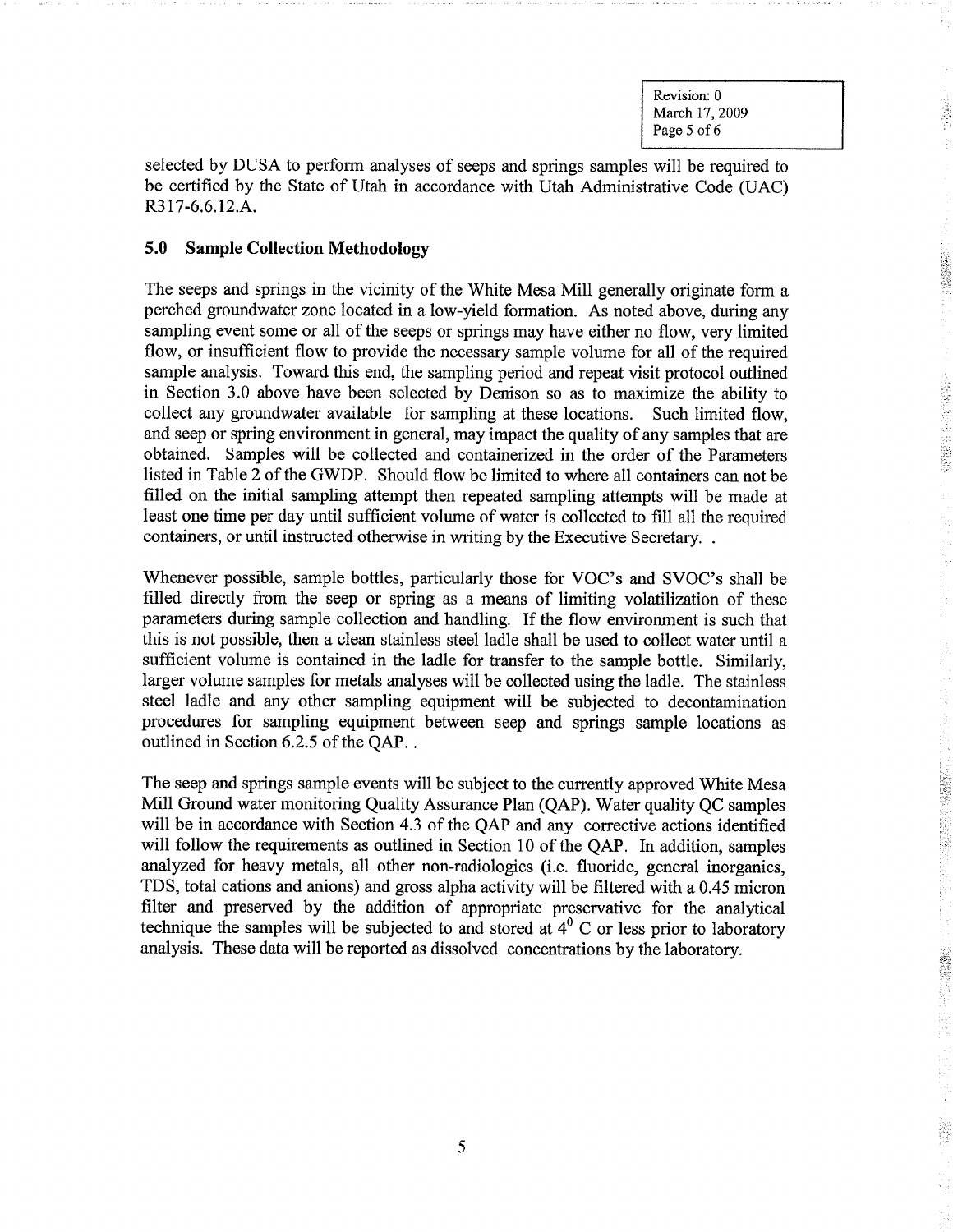Revision: 0 March 17, 2009 Page 5 of 6

19929921

**CONSTRUCTION** 

**COMPANY** 

selected by DUSA to perform analyses of seeps and springs samples will be required to be certified by the State of Utah in accordance with Utah Administrative Code (UAC) R3 l7-6.6.12.A

# 5.0 Sample Collection Methodology

The seeps and springs in the vicinity of the White Mesa Mill generally originate form a perched groundwater zone located in a low-yield formation. As noted above, during any sampling event some or all of the seeps or springs may have either no flow, very limited flow, or insufficient flow to provide the necessary sample volume for all of the required sample analysis. Toward this end, the sampling period and repeat visit protocol outlined in Section 3.0 above have been selected by Denison so as to maximize the ability to collect any groundwater available for sampling at these locations. Such limited flow, and seep or spring environment in general, may impact the quality of any samples that are obtained. Samples will be collected and containerized in the order of the Parameters listed in Table 2 of the GWDP. Should flow be limited to where all containers can not be filled on the initial sampling attempt then repeated sampling attempts will be made at least one time per day until sufficient volume of water is collected to fill all the required containers, or until instructed otherwise in writing by the Executive Secretary..

Whenever possible, sample bottles, particularly those for VOC's and SVOC's shall be filled directly from the seep or spring as means of limiting volatilization of these parameters during sample collection and handling. If the flow environment is such that this is not possible, then a clean stainless steel ladle shall be used to collect water until a sufficient volume is contained in the ladle for transfer to the sample bottle. Similarly, larger volume samples for metals analyses will be collected using the ladle. The stainless steel ladle and any other sampling equipment will be subjected to decontamination procedures for sampling equipment between seep and springs sample locations as outlined in Section 6.2.5 of the QAP...

The seep and springs sample events will be subject to the currently approved White Mesa Mill Ground water monitoring Quality Assurance Plan (OAP). Water quality OC samples will be in accordance with Section 4.3 of the OAP and any corrective actions identified will follow the requirements as outlined in Section 10 of the QAP. In addition, samples analyzed for heavy metals, all other non-radiologics (i.e. fluoride, general inorganics, TDS, total cations and anions) and gross alpha activity will be filtered with a 0.45 micron filter and preserved by the addition of appropriate preservative for the analytical technique the samples will be subjected to and stored at  $4^{\circ}$  C or less prior to laboratory analysis. These data will be reported as dissolved concentrations by the laboratory.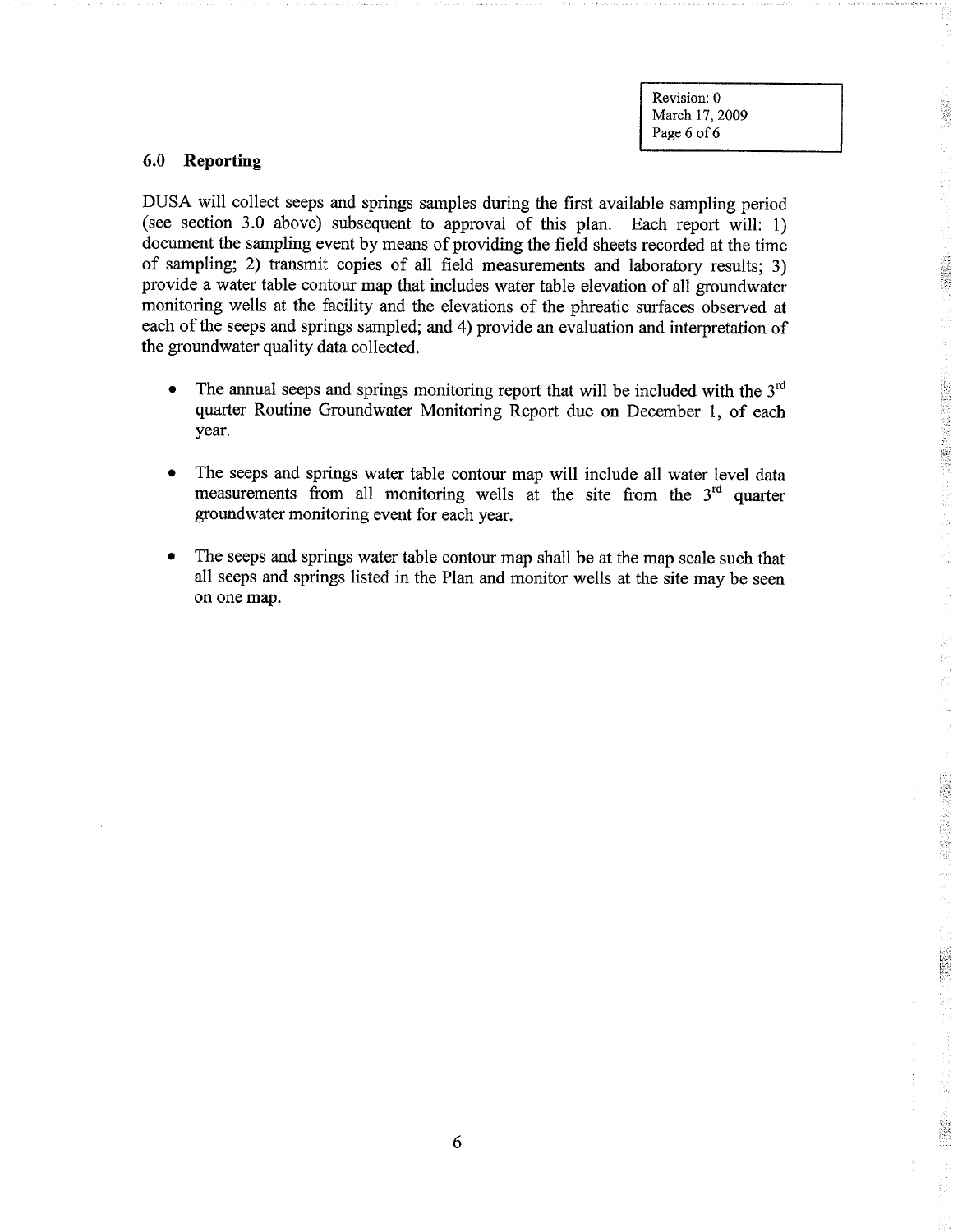Revision: 0 March 17, 2009 Page 6 of 6

3. 3. 3. 3. 3. 3. 4. 4.

(新疆)

中国的经济公司的信息

医腹部 医腹膜膜

## 6.0 Reporting

DUSA will collect seeps and springs samples during the first available sampling period (see section 3.0 above) subsequent to approval of this plan. Each report will: 1) document the sampling event by means of providing the field sheets recorded at the time of sampling; 2) transmit copies of all field measurements and laboratory results; 3) provide a water table contour map that includes water table elevation of all groundwater monitoring wells at the facility and the elevations of the phreatic surfaces observed at each of the seeps and springs sampled; and 4) provide an evaluation and interpretation of the groundwater quality data collected

- The annual seeps and springs monitoring report that will be included with the 3<sup>rd</sup>  $\bullet$ quarter Routine Groundwater Monitoring Report due on December 1, of each year
- The seeps and springs water table contour map will include all water level data measurements from all monitoring wells at the site from the  $3<sup>rd</sup>$  quarter groundwater monitoring event for each year
- The seeps and springs water table contour map shall be at the map scale such that all seeps and springs listed in the Plan and monitor wells at the site may be seen on one map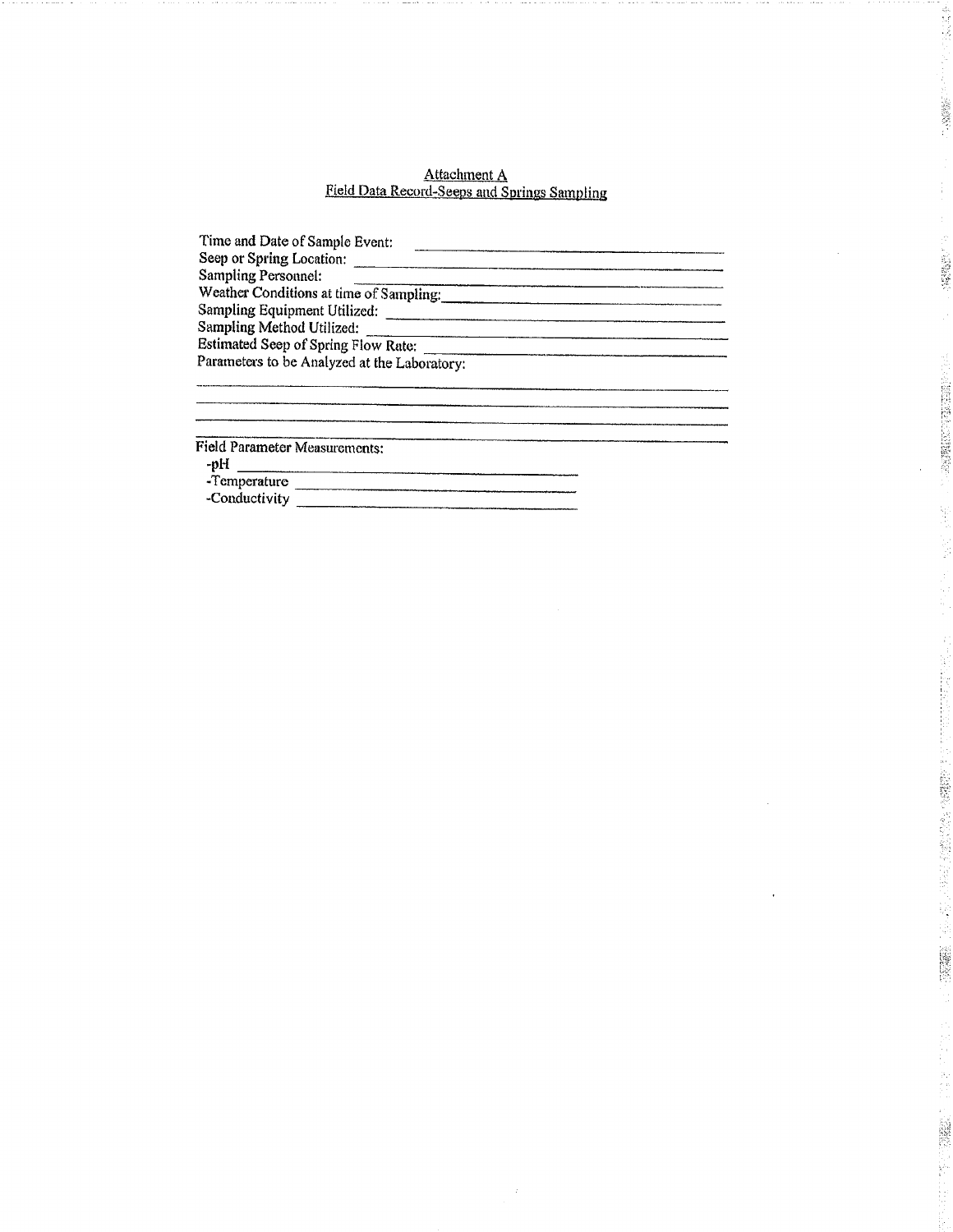#### Attachm Field Data Record-Seeps and Springs Sampling

þ

**NAPRASSES** 

ý.

**14.2010年1期的时间的文化的数据数据。** 

À

H,

| Time and Date of Sample Event:               |  |
|----------------------------------------------|--|
| Seep or Spring Location:                     |  |
| Sampling Personnel:                          |  |
| Weather Conditions at time of Sampling:      |  |
| Sampling Equipment Utilized:                 |  |
| Sampling Method Utilized:                    |  |
| Estimated Seep of Spring Flow Rate:          |  |
|                                              |  |
| Parameters to be Analyzed at the Laboratory: |  |
|                                              |  |
|                                              |  |
|                                              |  |
|                                              |  |
|                                              |  |
| <b>Field Parameter Measurements:</b><br>-pH  |  |
| -Temperature                                 |  |
| -Conductivity                                |  |